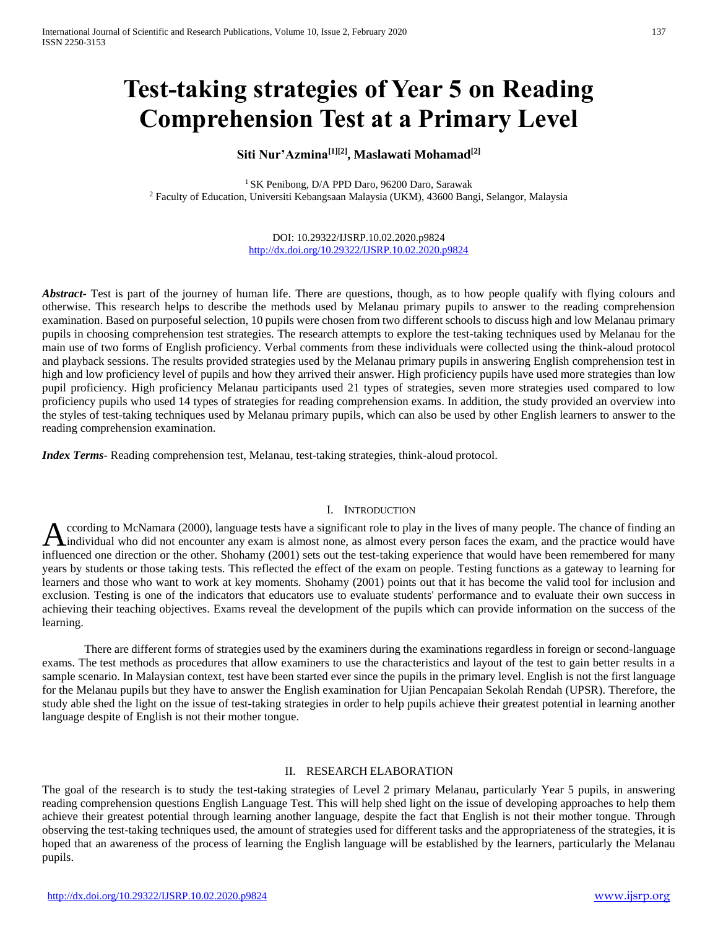# **Test-taking strategies of Year 5 on Reading Comprehension Test at a Primary Level**

# **Siti Nur'Azmina[1][2], Maslawati Mohamad[2]**

<sup>1</sup> SK Penibong, D/A PPD Daro, 96200 Daro, Sarawak <sup>2</sup> Faculty of Education, Universiti Kebangsaan Malaysia (UKM), 43600 Bangi, Selangor, Malaysia

> DOI: 10.29322/IJSRP.10.02.2020.p9824 <http://dx.doi.org/10.29322/IJSRP.10.02.2020.p9824>

*Abstract* Test is part of the journey of human life. There are questions, though, as to how people qualify with flying colours and otherwise. This research helps to describe the methods used by Melanau primary pupils to answer to the reading comprehension examination. Based on purposeful selection, 10 pupils were chosen from two different schools to discuss high and low Melanau primary pupils in choosing comprehension test strategies. The research attempts to explore the test-taking techniques used by Melanau for the main use of two forms of English proficiency. Verbal comments from these individuals were collected using the think-aloud protocol and playback sessions. The results provided strategies used by the Melanau primary pupils in answering English comprehension test in high and low proficiency level of pupils and how they arrived their answer. High proficiency pupils have used more strategies than low pupil proficiency. High proficiency Melanau participants used 21 types of strategies, seven more strategies used compared to low proficiency pupils who used 14 types of strategies for reading comprehension exams. In addition, the study provided an overview into the styles of test-taking techniques used by Melanau primary pupils, which can also be used by other English learners to answer to the reading comprehension examination.

*Index Terms*- Reading comprehension test, Melanau, test-taking strategies, think-aloud protocol.

## I. INTRODUCTION

ccording to McNamara (2000), language tests have a significant role to play in the lives of many people. The chance of finding an A ccording to McNamara (2000), language tests have a significant role to play in the lives of many people. The chance of finding an individual who did not encounter any exam is almost none, as almost every person faces the influenced one direction or the other. Shohamy (2001) sets out the test-taking experience that would have been remembered for many years by students or those taking tests. This reflected the effect of the exam on people. Testing functions as a gateway to learning for learners and those who want to work at key moments. Shohamy (2001) points out that it has become the valid tool for inclusion and exclusion. Testing is one of the indicators that educators use to evaluate students' performance and to evaluate their own success in achieving their teaching objectives. Exams reveal the development of the pupils which can provide information on the success of the learning.

There are different forms of strategies used by the examiners during the examinations regardless in foreign or second-language exams. The test methods as procedures that allow examiners to use the characteristics and layout of the test to gain better results in a sample scenario. In Malaysian context, test have been started ever since the pupils in the primary level. English is not the first language for the Melanau pupils but they have to answer the English examination for Ujian Pencapaian Sekolah Rendah (UPSR). Therefore, the study able shed the light on the issue of test-taking strategies in order to help pupils achieve their greatest potential in learning another language despite of English is not their mother tongue.

## II. RESEARCH ELABORATION

The goal of the research is to study the test-taking strategies of Level 2 primary Melanau, particularly Year 5 pupils, in answering reading comprehension questions English Language Test. This will help shed light on the issue of developing approaches to help them achieve their greatest potential through learning another language, despite the fact that English is not their mother tongue. Through observing the test-taking techniques used, the amount of strategies used for different tasks and the appropriateness of the strategies, it is hoped that an awareness of the process of learning the English language will be established by the learners, particularly the Melanau pupils.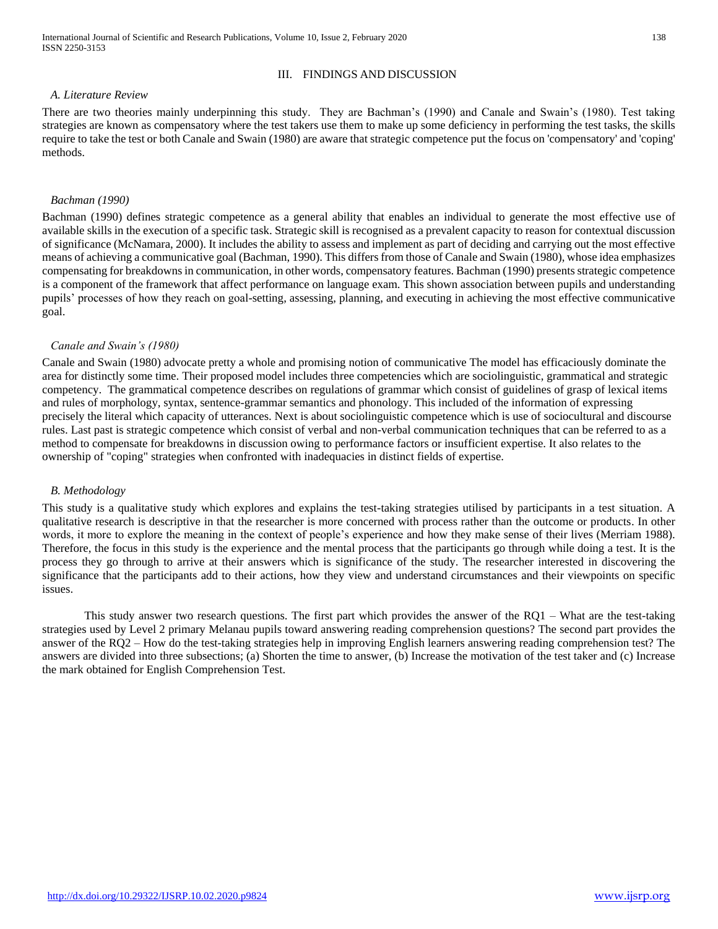# III. FINDINGS AND DISCUSSION

# *A. Literature Review*

There are two theories mainly underpinning this study. They are Bachman's (1990) and Canale and Swain's (1980). Test taking strategies are known as compensatory where the test takers use them to make up some deficiency in performing the test tasks, the skills require to take the test or both Canale and Swain (1980) are aware that strategic competence put the focus on 'compensatory' and 'coping' methods.

## *Bachman (1990)*

Bachman (1990) defines strategic competence as a general ability that enables an individual to generate the most effective use of available skills in the execution of a specific task. Strategic skill is recognised as a prevalent capacity to reason for contextual discussion of significance (McNamara, 2000). It includes the ability to assess and implement as part of deciding and carrying out the most effective means of achieving a communicative goal (Bachman, 1990). This differs from those of Canale and Swain (1980), whose idea emphasizes compensating for breakdowns in communication, in other words, compensatory features. Bachman (1990) presents strategic competence is a component of the framework that affect performance on language exam. This shown association between pupils and understanding pupils' processes of how they reach on goal-setting, assessing, planning, and executing in achieving the most effective communicative goal.

## *Canale and Swain's (1980)*

Canale and Swain (1980) advocate pretty a whole and promising notion of communicative The model has efficaciously dominate the area for distinctly some time. Their proposed model includes three competencies which are sociolinguistic, grammatical and strategic competency. The grammatical competence describes on regulations of grammar which consist of guidelines of grasp of lexical items and rules of morphology, syntax, sentence-grammar semantics and phonology. This included of the information of expressing precisely the literal which capacity of utterances. Next is about sociolinguistic competence which is use of sociocultural and discourse rules. Last past is strategic competence which consist of verbal and non-verbal communication techniques that can be referred to as a method to compensate for breakdowns in discussion owing to performance factors or insufficient expertise. It also relates to the ownership of "coping" strategies when confronted with inadequacies in distinct fields of expertise.

## *B. Methodology*

This study is a qualitative study which explores and explains the test-taking strategies utilised by participants in a test situation. A qualitative research is descriptive in that the researcher is more concerned with process rather than the outcome or products. In other words, it more to explore the meaning in the context of people's experience and how they make sense of their lives (Merriam 1988). Therefore, the focus in this study is the experience and the mental process that the participants go through while doing a test. It is the process they go through to arrive at their answers which is significance of the study. The researcher interested in discovering the significance that the participants add to their actions, how they view and understand circumstances and their viewpoints on specific issues.

This study answer two research questions. The first part which provides the answer of the RQ1 – What are the test-taking strategies used by Level 2 primary Melanau pupils toward answering reading comprehension questions? The second part provides the answer of the RQ2 – How do the test-taking strategies help in improving English learners answering reading comprehension test? The answers are divided into three subsections; (a) Shorten the time to answer, (b) Increase the motivation of the test taker and (c) Increase the mark obtained for English Comprehension Test.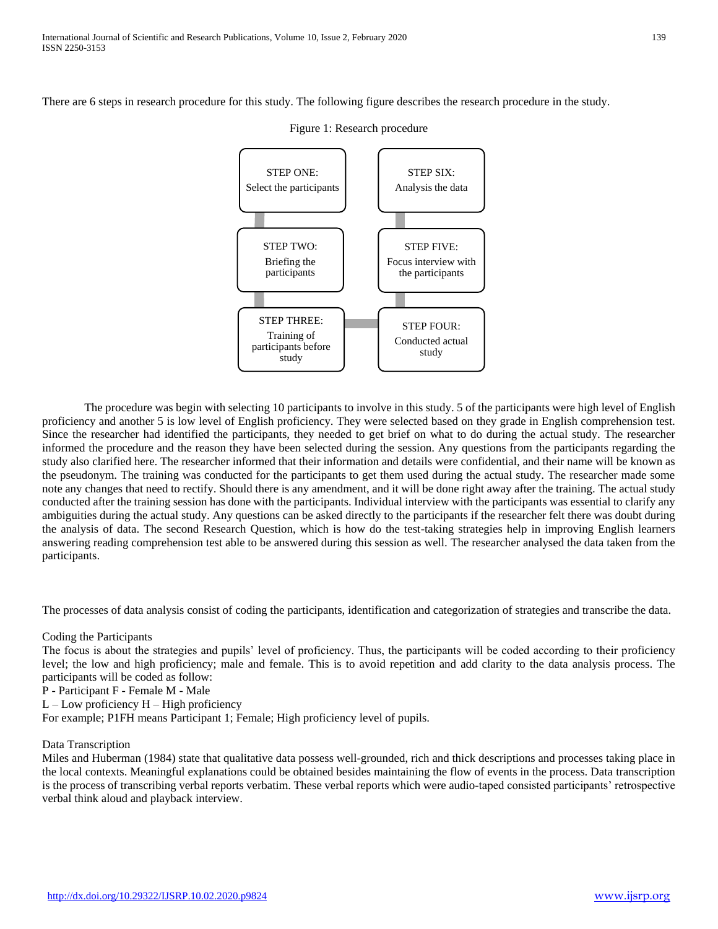There are 6 steps in research procedure for this study. The following figure describes the research procedure in the study.



Figure 1: Research procedure

The procedure was begin with selecting 10 participants to involve in this study. 5 of the participants were high level of English proficiency and another 5 is low level of English proficiency. They were selected based on they grade in English comprehension test. Since the researcher had identified the participants, they needed to get brief on what to do during the actual study. The researcher informed the procedure and the reason they have been selected during the session. Any questions from the participants regarding the study also clarified here. The researcher informed that their information and details were confidential, and their name will be known as the pseudonym. The training was conducted for the participants to get them used during the actual study. The researcher made some note any changes that need to rectify. Should there is any amendment, and it will be done right away after the training. The actual study conducted after the training session has done with the participants. Individual interview with the participants was essential to clarify any ambiguities during the actual study. Any questions can be asked directly to the participants if the researcher felt there was doubt during the analysis of data. The second Research Question, which is how do the test-taking strategies help in improving English learners answering reading comprehension test able to be answered during this session as well. The researcher analysed the data taken from the participants.

The processes of data analysis consist of coding the participants, identification and categorization of strategies and transcribe the data.

Coding the Participants

The focus is about the strategies and pupils' level of proficiency. Thus, the participants will be coded according to their proficiency level; the low and high proficiency; male and female. This is to avoid repetition and add clarity to the data analysis process. The participants will be coded as follow:

P - Participant F - Female M - Male

 $L$  – Low proficiency  $H$  – High proficiency

For example; P1FH means Participant 1; Female; High proficiency level of pupils.

## Data Transcription

Miles and Huberman (1984) state that qualitative data possess well-grounded, rich and thick descriptions and processes taking place in the local contexts. Meaningful explanations could be obtained besides maintaining the flow of events in the process. Data transcription is the process of transcribing verbal reports verbatim. These verbal reports which were audio-taped consisted participants' retrospective verbal think aloud and playback interview.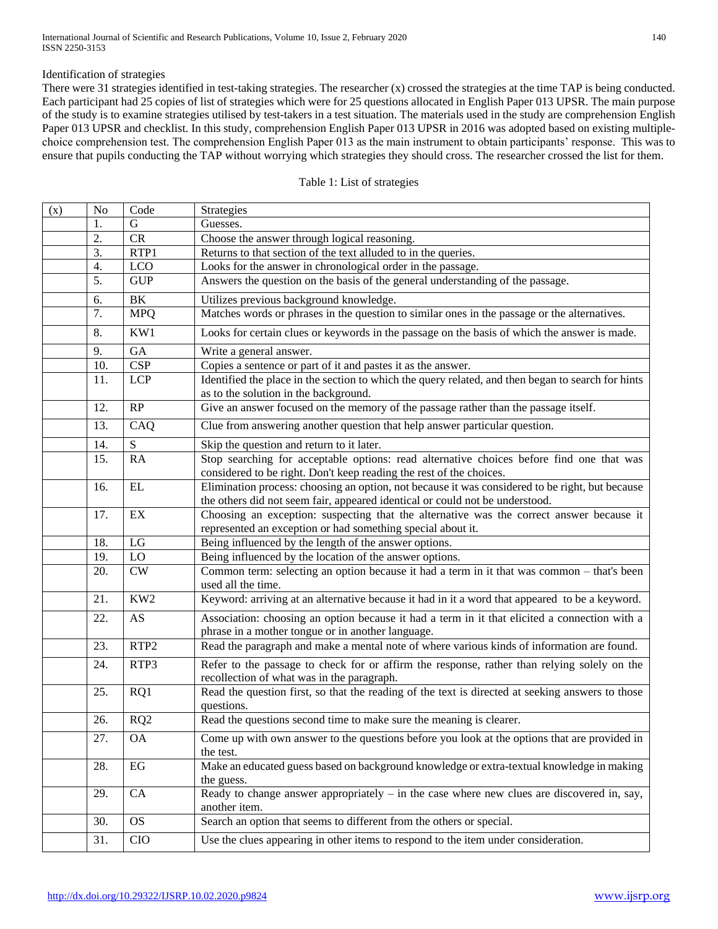#### Identification of strategies

There were 31 strategies identified in test-taking strategies. The researcher (x) crossed the strategies at the time TAP is being conducted. Each participant had 25 copies of list of strategies which were for 25 questions allocated in English Paper 013 UPSR. The main purpose of the study is to examine strategies utilised by test-takers in a test situation. The materials used in the study are comprehension English Paper 013 UPSR and checklist. In this study, comprehension English Paper 013 UPSR in 2016 was adopted based on existing multiplechoice comprehension test. The comprehension English Paper 013 as the main instrument to obtain participants' response. This was to ensure that pupils conducting the TAP without worrying which strategies they should cross. The researcher crossed the list for them.

| (x) | N <sub>0</sub> | Code             | <b>Strategies</b>                                                                                                                                                               |
|-----|----------------|------------------|---------------------------------------------------------------------------------------------------------------------------------------------------------------------------------|
|     | 1.             | G                | Guesses.                                                                                                                                                                        |
|     | 2.             | CR               | Choose the answer through logical reasoning.                                                                                                                                    |
|     | 3.             | RTP1             | Returns to that section of the text alluded to in the queries.                                                                                                                  |
|     | 4.             | <b>LCO</b>       | Looks for the answer in chronological order in the passage.                                                                                                                     |
|     | 5.             | <b>GUP</b>       | Answers the question on the basis of the general understanding of the passage.                                                                                                  |
|     | 6.             | $\rm BK$         | Utilizes previous background knowledge.                                                                                                                                         |
|     | 7.             | <b>MPQ</b>       | Matches words or phrases in the question to similar ones in the passage or the alternatives.                                                                                    |
|     | 8.             | KW1              | Looks for certain clues or keywords in the passage on the basis of which the answer is made.                                                                                    |
|     | 9.             | GA               | Write a general answer.                                                                                                                                                         |
|     | 10.            | <b>CSP</b>       | Copies a sentence or part of it and pastes it as the answer.                                                                                                                    |
|     | 11.            | <b>LCP</b>       | Identified the place in the section to which the query related, and then began to search for hints<br>as to the solution in the background.                                     |
|     | 12.            | RP               | Give an answer focused on the memory of the passage rather than the passage itself.                                                                                             |
|     | 13.            | CAQ              | Clue from answering another question that help answer particular question.                                                                                                      |
|     | 14.            | ${\bf S}$        | Skip the question and return to it later.                                                                                                                                       |
|     | 15.            | RA               | Stop searching for acceptable options: read alternative choices before find one that was<br>considered to be right. Don't keep reading the rest of the choices.                 |
|     | 16.            | $\mathbf{EL}$    | Elimination process: choosing an option, not because it was considered to be right, but because<br>the others did not seem fair, appeared identical or could not be understood. |
|     | 17.            | EX               | Choosing an exception: suspecting that the alternative was the correct answer because it<br>represented an exception or had something special about it.                         |
|     | 18.            | LG               | Being influenced by the length of the answer options.                                                                                                                           |
|     | 19.            | LO               | Being influenced by the location of the answer options.                                                                                                                         |
|     | 20.            | CW               | Common term: selecting an option because it had a term in it that was common - that's been<br>used all the time.                                                                |
|     | 21.            | KW <sub>2</sub>  | Keyword: arriving at an alternative because it had in it a word that appeared to be a keyword.                                                                                  |
|     | 22.            | AS               | Association: choosing an option because it had a term in it that elicited a connection with a<br>phrase in a mother tongue or in another language.                              |
|     | 23.            | RTP <sub>2</sub> | Read the paragraph and make a mental note of where various kinds of information are found.                                                                                      |
|     | 24.            | RTP3             | Refer to the passage to check for or affirm the response, rather than relying solely on the<br>recollection of what was in the paragraph.                                       |
|     | 25.            | RQ1              | Read the question first, so that the reading of the text is directed at seeking answers to those<br>questions.                                                                  |
|     | 26.            | RQ <sub>2</sub>  | Read the questions second time to make sure the meaning is clearer.                                                                                                             |
|     | 27.            | <b>OA</b>        | Come up with own answer to the questions before you look at the options that are provided in<br>the test.                                                                       |
|     | 28.            | EG               | Make an educated guess based on background knowledge or extra-textual knowledge in making<br>the guess.                                                                         |
|     | 29.            | CA               | Ready to change answer appropriately $-$ in the case where new clues are discovered in, say,<br>another item.                                                                   |
|     | 30.            | <b>OS</b>        | Search an option that seems to different from the others or special.                                                                                                            |
|     | 31.            | <b>CIO</b>       | Use the clues appearing in other items to respond to the item under consideration.                                                                                              |

#### Table 1: List of strategies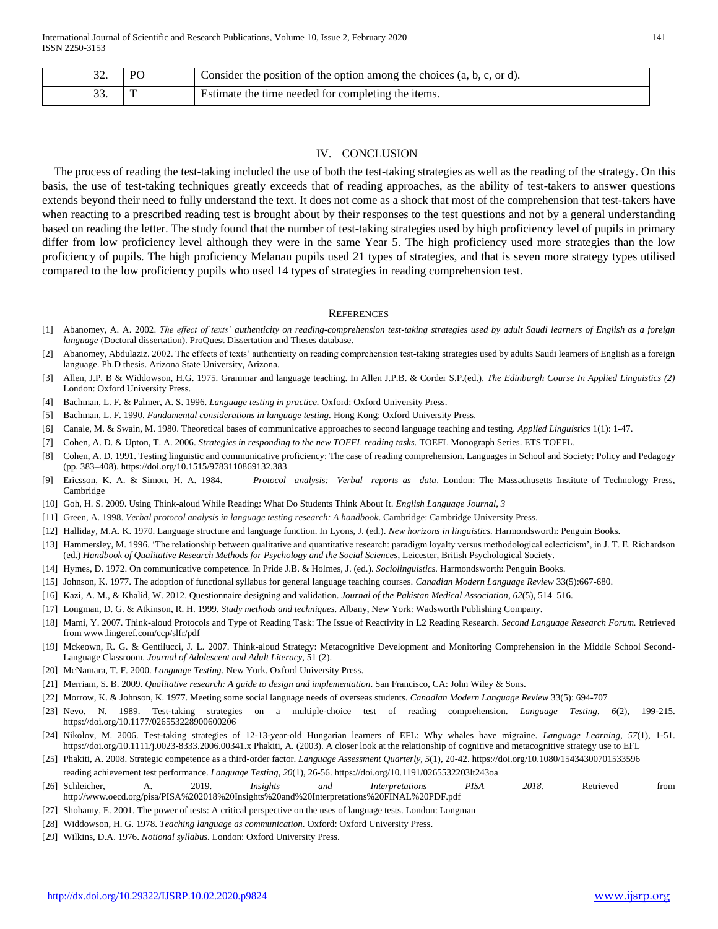| $\Omega$<br>34. | P <sub>(</sub> | Consider the position of the option among the choices $(a, b, c, or d)$ . |
|-----------------|----------------|---------------------------------------------------------------------------|
| $\sim$<br>JJ.   |                | <b>Estimate the time needed for completing the items.</b>                 |

#### IV. CONCLUSION

The process of reading the test-taking included the use of both the test-taking strategies as well as the reading of the strategy. On this basis, the use of test-taking techniques greatly exceeds that of reading approaches, as the ability of test-takers to answer questions extends beyond their need to fully understand the text. It does not come as a shock that most of the comprehension that test-takers have when reacting to a prescribed reading test is brought about by their responses to the test questions and not by a general understanding based on reading the letter. The study found that the number of test-taking strategies used by high proficiency level of pupils in primary differ from low proficiency level although they were in the same Year 5. The high proficiency used more strategies than the low proficiency of pupils. The high proficiency Melanau pupils used 21 types of strategies, and that is seven more strategy types utilised compared to the low proficiency pupils who used 14 types of strategies in reading comprehension test.

#### **REFERENCES**

- [1] Abanomey, A. A. 2002. *The effect of texts' authenticity on reading-comprehension test-taking strategies used by adult Saudi learners of English as a foreign language* (Doctoral dissertation). ProQuest Dissertation and Theses database.
- [2] Abanomey, Abdulaziz. 2002. The effects of texts' authenticity on reading comprehension test-taking strategies used by adults Saudi learners of English as a foreign language. Ph.D thesis. Arizona State University, Arizona.
- [3] Allen, J.P. B & Widdowson, H.G. 1975. Grammar and language teaching. In Allen J.P.B. & Corder S.P.(ed.). *The Edinburgh Course In Applied Linguistics (2)* London: Oxford University Press.
- [4] Bachman, L. F. & Palmer, A. S. 1996. *Language testing in practice.* Oxford: Oxford University Press.
- [5] Bachman, L. F. 1990. *Fundamental considerations in language testing.* Hong Kong: Oxford University Press.
- [6] Canale, M. & Swain, M. 1980. Theoretical bases of communicative approaches to second language teaching and testing. *Applied Linguistics* 1(1): 1-47.
- [7] Cohen, A. D. & Upton, T. A. 2006. *Strategies in responding to the new TOEFL reading tasks.* TOEFL Monograph Series. ETS TOEFL.
- [8] Cohen, A. D. 1991. Testing linguistic and communicative proficiency: The case of reading comprehension. Languages in School and Society: Policy and Pedagogy (pp. 383–408). https://doi.org/10.1515/9783110869132.383
- [9] Ericsson, K. A. & Simon, H. A. 1984. *Protocol analysis: Verbal reports as data*. London: The Massachusetts Institute of Technology Press, Cambridge
- [10] Goh, H. S. 2009. Using Think-aloud While Reading: What Do Students Think About It. *English Language Journal, 3*
- [11] Green, A. 1998. *Verbal protocol analysis in language testing research: A handbook*. Cambridge: Cambridge University Press.
- [12] Halliday, M.A. K. 1970. Language structure and language function. In Lyons, J. (ed.). *New horizons in linguistics.* Harmondsworth: Penguin Books.
- [13] Hammersley, M. 1996. 'The relationship between qualitative and quantitative research: paradigm loyalty versus methodological eclecticism', in J. T. E. Richardson (ed.) *Handbook of Qualitative Research Methods for Psychology and the Social Sciences*, Leicester, British Psychological Society.
- [14] Hymes, D. 1972. On communicative competence. In Pride J.B. & Holmes, J. (ed.). *Sociolinguistics.* Harmondsworth: Penguin Books.
- [15] Johnson, K. 1977. The adoption of functional syllabus for general language teaching courses. *Canadian Modern Language Review* 33(5):667-680.
- [16] Kazi, A. M., & Khalid, W. 2012. Questionnaire designing and validation. *Journal of the Pakistan Medical Association*, *62*(5), 514–516.
- [17] Longman, D. G. & Atkinson, R. H. 1999. *Study methods and techniques.* Albany, New York: Wadsworth Publishing Company.
- [18] Mami, Y. 2007. Think-aloud Protocols and Type of Reading Task: The Issue of Reactivity in L2 Reading Research. *Second Language Research Forum.* Retrieved from www.lingeref.com/ccp/slfr/pdf
- [19] Mckeown, R. G. & Gentilucci, J. L. 2007. Think-aloud Strategy: Metacognitive Development and Monitoring Comprehension in the Middle School Second-Language Classroom. *Journal of Adolescent and Adult Literacy,* 51 (2).
- [20] McNamara, T. F. 2000. *Language Testing.* New York. Oxford University Press.
- [21] Merriam, S. B. 2009. *Qualitative research: A guide to design and implementation*. San Francisco, CA: John Wiley & Sons.
- [22] Morrow, K. & Johnson, K. 1977. Meeting some social language needs of overseas students. *Canadian Modern Language Review* 33(5): 694-707
- [23] Nevo, N. 1989. Test-taking strategies on a multiple-choice test of reading comprehension. *Language Testing*, *6*(2), 199-215. https://doi.org/10.1177/026553228900600206
- [24] Nikolov, M. 2006. Test-taking strategies of 12-13-year-old Hungarian learners of EFL: Why whales have migraine. *Language Learning*, *57*(1), 1-51. https://doi.org/10.1111/j.0023-8333.2006.00341.x Phakiti, A. (2003). A closer look at the relationship of cognitive and metacognitive strategy use to EFL
- [25] Phakiti, A. 2008. Strategic competence as a third-order factor. *Language Assessment Quarterly*, *5*(1), 20-42. https://doi.org/10.1080/15434300701533596 reading achievement test performance. *Language Testing*, *20*(1), 26-56. https://doi.org/10.1191/0265532203lt243oa
- [26] Schleicher, A. 2019. *Insights and Interpretations PISA 2018.* Retrieved from http://www.oecd.org/pisa/PISA%202018%20Insights%20and%20Interpretations%20FINAL%20PDF.pdf
- [27] Shohamy, E. 2001. The power of tests: A critical perspective on the uses of language tests. London: Longman
- [28] Widdowson, H. G. 1978. *Teaching language as communication.* Oxford: Oxford University Press.
- [29] Wilkins, D.A. 1976. *Notional syllabus.* London: Oxford University Press.